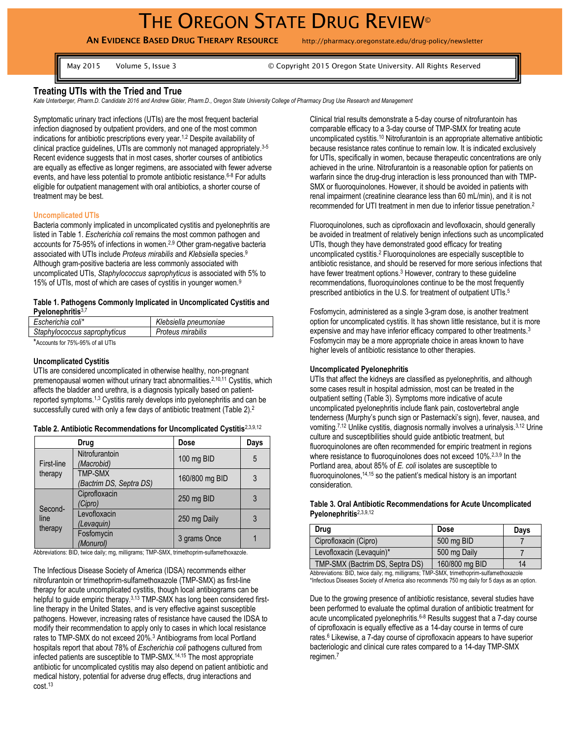# THE OREGON STATE DRUG REVIEW®

**AN EVIDENCE BASED DRUG THERAPY RESOURCE** http://pharmacy.oregonstate.edu/drug-policy/newsletter

May 2015 Volume 5, Issue 3 © Copyright 2015 Oregon State University. All Rights Reserved

## **Treating UTIs with the Tried and True**

*Kate Unterberger, Pharm.D. Candidate 2016 and Andrew Gibler, Pharm.D., Oregon State University College of Pharmacy Drug Use Research and Management*

Symptomatic urinary tract infections (UTIs) are the most frequent bacterial infection diagnosed by outpatient providers, and one of the most common indications for antibiotic prescriptions every year.<sup>1,2</sup> Despite availability of clinical practice guidelines, UTIs are commonly not managed appropriately. 3-5 Recent evidence suggests that in most cases, shorter courses of antibiotics are equally as effective as longer regimens, are associated with fewer adverse events, and have less potential to promote antibiotic resistance. 6-8 For adults eligible for outpatient management with oral antibiotics, a shorter course of treatment may be best.

#### **Uncomplicated UTIs**

Bacteria commonly implicated in uncomplicated cystitis and pyelonephritis are listed in Table 1. *Escherichia coli* remains the most common pathogen and accounts for 75-95% of infections in women.2,9 Other gram-negative bacteria associated with UTIs include *Proteus mirabilis* and *Klebsiella* species.<sup>9</sup> Although gram-positive bacteria are less commonly associated with uncomplicated UTIs, *Staphylococcus saprophyticus* is associated with 5% to 15% of UTIs, most of which are cases of cystitis in younger women.<sup>9</sup>

### **Table 1. Pathogens Commonly Implicated in Uncomplicated Cystitis and Pyelonephritis**3,7

| Escherichia coli*            | Klebsiella pneumoniae |
|------------------------------|-----------------------|
| Staphylococcus saprophyticus | Proteus mirabilis     |
|                              |                       |

\*Accounts for 75%-95% of all UTIs

#### **Uncomplicated Cystitis**

UTIs are considered uncomplicated in otherwise healthy, non-pregnant premenopausal women without urinary tract abnormalities.<sup>2,10,11</sup> Cystitis, which affects the bladder and urethra, is a diagnosis typically based on patientreported symptoms.1,3 Cystitis rarely develops into pyelonephritis and can be successfully cured with only a few days of antibiotic treatment (Table 2).<sup>2</sup>

#### **Table 2. Antibiotic Recommendations for Uncomplicated Cystitis**2,3,9,12

|                            | Drug                                      | Dose           | Days |
|----------------------------|-------------------------------------------|----------------|------|
| First-line                 | Nitrofurantoin<br>(Macrobid)              | 100 mg BID     | 5    |
| therapy                    | <b>TMP-SMX</b><br>(Bactrim DS, Septra DS) | 160/800 mg BID |      |
| Second-<br>line<br>therapy | Ciprofloxacin<br>'Cipro)                  | 250 mg BID     | 3    |
|                            | Levofloxacin<br>(Levaquin)                | 250 mg Daily   |      |
|                            | Fosfomycin<br>(Monurol)                   | 3 grams Once   |      |

Abbreviations: BID, twice daily; mg, milligrams; TMP-SMX, trimethoprim-sulfamethoxazole.

The Infectious Disease Society of America (IDSA) recommends either nitrofurantoin or trimethoprim-sulfamethoxazole (TMP-SMX) as first-line therapy for acute uncomplicated cystitis, though local antibiograms can be helpful to guide empiric therapy.<sup>3,13</sup> TMP-SMX has long been considered firstline therapy in the United States, and is very effective against susceptible pathogens. However, increasing rates of resistance have caused the IDSA to modify their recommendation to apply only to cases in which local resistance rates to TMP-SMX do not exceed 20%.<sup>3</sup> Antibiograms from local Portland hospitals report that about 78% of *Escherichia coli* pathogens cultured from infected patients are susceptible to TMP-SMX.14,15 The most appropriate antibiotic for uncomplicated cystitis may also depend on patient antibiotic and medical history, potential for adverse drug effects, drug interactions and cost.<sup>13</sup>

Clinical trial results demonstrate a 5-day course of nitrofurantoin has comparable efficacy to a 3-day course of TMP-SMX for treating acute uncomplicated cystitis. <sup>10</sup> Nitrofurantoin is an appropriate alternative antibiotic because resistance rates continue to remain low. It is indicated exclusively for UTIs, specifically in women, because therapeutic concentrations are only achieved in the urine. Nitrofurantoin is a reasonable option for patients on warfarin since the drug-drug interaction is less pronounced than with TMP-SMX or fluoroquinolones. However, it should be avoided in patients with renal impairment (creatinine clearance less than 60 mL/min), and it is not recommended for UTI treatment in men due to inferior tissue penetration.<sup>2</sup>

Fluoroquinolones, such as ciprofloxacin and levofloxacin, should generally be avoided in treatment of relatively benign infections such as uncomplicated UTIs, though they have demonstrated good efficacy for treating uncomplicated cystitis. <sup>2</sup> Fluoroquinolones are especially susceptible to antibiotic resistance, and should be reserved for more serious infections that have fewer treatment options.<sup>3</sup> However, contrary to these guideline recommendations, fluoroquinolones continue to be the most frequently prescribed antibiotics in the U.S. for treatment of outpatient UTIs.<sup>5</sup>

Fosfomycin, administered as a single 3-gram dose, is another treatment option for uncomplicated cystitis. It has shown little resistance, but it is more expensive and may have inferior efficacy compared to other treatments.<sup>3</sup> Fosfomycin may be a more appropriate choice in areas known to have higher levels of antibiotic resistance to other therapies.

### **Uncomplicated Pyelonephritis**

UTIs that affect the kidneys are classified as pyelonephritis, and although some cases result in hospital admission, most can be treated in the outpatient setting (Table 3). Symptoms more indicative of acute uncomplicated pyelonephritis include flank pain, costovertebral angle tenderness (Murphy's punch sign or Pasternacki's sign), fever, nausea, and vomiting.<sup>7,12</sup> Unlike cystitis, diagnosis normally involves a urinalysis.<sup>3,12</sup> Urine culture and susceptibilities should guide antibiotic treatment, but fluoroquinolones are often recommended for empiric treatment in regions where resistance to fluoroquinolones does not exceed 10%.<sup>2,3,9</sup> In the Portland area, about 85% of *E. coli* isolates are susceptible to fluoroquinolones,  $14,15$  so the patient's medical history is an important consideration.

#### **Table 3. Oral Antibiotic Recommendations for Acute Uncomplicated Pyelonephritis**2,3,9,12

| Drug                            | Dose           | Days |
|---------------------------------|----------------|------|
| Ciprofloxacin (Cipro)           | 500 mg BID     |      |
| Levofloxacin (Levaguin)*        | 500 mg Daily   |      |
| TMP-SMX (Bactrim DS, Septra DS) | 160/800 mg BID | 14   |

Abbreviations: BID, twice daily; mg, milligrams; TMP-SMX, trimethoprim-sulfamethoxazole \*Infectious Diseases Society of America also recommends 750 mg daily for 5 days as an option.

Due to the growing presence of antibiotic resistance, several studies have been performed to evaluate the optimal duration of antibiotic treatment for acute uncomplicated pyelonephritis.6-8 Results suggest that a 7-day course of ciprofloxacin is equally effective as a 14-day course in terms of cure rates.<sup>6</sup> Likewise, a 7-day course of ciprofloxacin appears to have superior bacteriologic and clinical cure rates compared to a 14-day TMP-SMX regimen.<sup>7</sup>